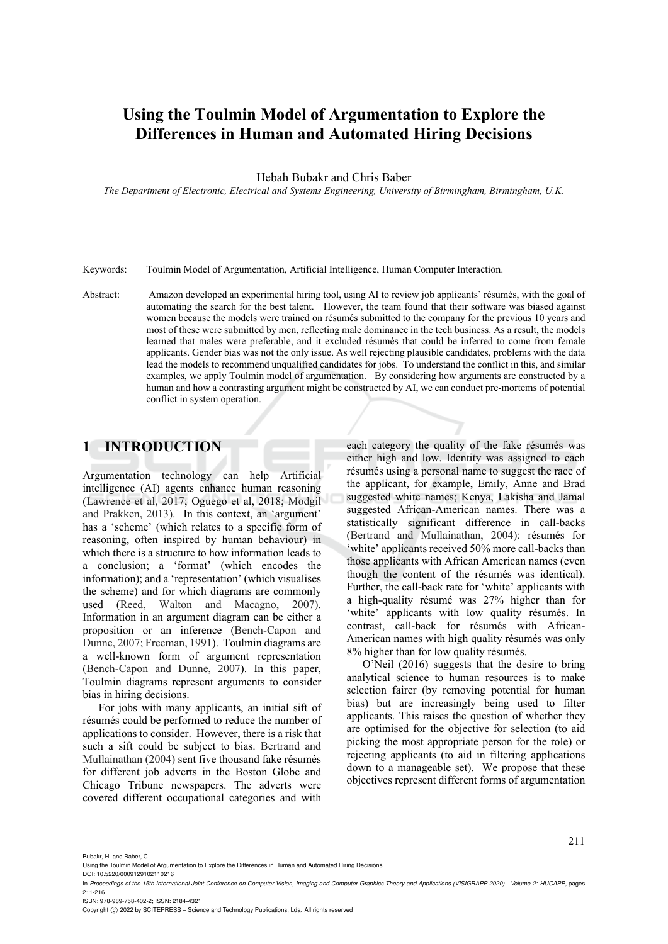# **Using the Toulmin Model of Argumentation to Explore the Differences in Human and Automated Hiring Decisions**

Hebah Bubakr and Chris Baber

*The Department of Electronic, Electrical and Systems Engineering, University of Birmingham, Birmingham, U.K.* 

Keywords: Toulmin Model of Argumentation, Artificial Intelligence, Human Computer Interaction.

Abstract: Amazon developed an experimental hiring tool, using AI to review job applicants' résumés, with the goal of automating the search for the best talent. However, the team found that their software was biased against women because the models were trained on résumés submitted to the company for the previous 10 years and most of these were submitted by men, reflecting male dominance in the tech business. As a result, the models learned that males were preferable, and it excluded résumés that could be inferred to come from female applicants. Gender bias was not the only issue. As well rejecting plausible candidates, problems with the data lead the models to recommend unqualified candidates for jobs. To understand the conflict in this, and similar examples, we apply Toulmin model of argumentation. By considering how arguments are constructed by a human and how a contrasting argument might be constructed by AI, we can conduct pre-mortems of potential conflict in system operation.

### **1 INTRODUCTION**

Argumentation technology can help Artificial intelligence (AI) agents enhance human reasoning (Lawrence et al, 2017; Oguego et al, 2018; Modgil and Prakken, 2013). In this context, an 'argument' has a 'scheme' (which relates to a specific form of reasoning, often inspired by human behaviour) in which there is a structure to how information leads to a conclusion; a 'format' (which encodes the information); and a 'representation' (which visualises the scheme) and for which diagrams are commonly used (Reed, Walton and Macagno, 2007). Information in an argument diagram can be either a proposition or an inference (Bench-Capon and Dunne, 2007; Freeman, 1991). Toulmin diagrams are a well-known form of argument representation (Bench-Capon and Dunne, 2007). In this paper, Toulmin diagrams represent arguments to consider bias in hiring decisions.

For jobs with many applicants, an initial sift of résumés could be performed to reduce the number of applications to consider. However, there is a risk that such a sift could be subject to bias. Bertrand and Mullainathan (2004) sent five thousand fake résumés for different job adverts in the Boston Globe and Chicago Tribune newspapers. The adverts were covered different occupational categories and with

each category the quality of the fake résumés was either high and low. Identity was assigned to each résumés using a personal name to suggest the race of the applicant, for example, Emily, Anne and Brad suggested white names; Kenya, Lakisha and Jamal suggested African-American names. There was a statistically significant difference in call-backs (Bertrand and Mullainathan, 2004): résumés for 'white' applicants received 50% more call-backs than those applicants with African American names (even though the content of the résumés was identical). Further, the call-back rate for 'white' applicants with a high-quality résumé was 27% higher than for 'white' applicants with low quality résumés. In contrast, call-back for résumés with African-American names with high quality résumés was only 8% higher than for low quality résumés.

O'Neil (2016) suggests that the desire to bring analytical science to human resources is to make selection fairer (by removing potential for human bias) but are increasingly being used to filter applicants. This raises the question of whether they are optimised for the objective for selection (to aid picking the most appropriate person for the role) or rejecting applicants (to aid in filtering applications down to a manageable set). We propose that these objectives represent different forms of argumentation

211

Bubakr, H. and Baber, C.

DOI: 10.5220/0009129102110216

ISBN: 978-989-758-402-2; ISSN: 2184-4321

Copyright © 2022 by SCITEPRESS - Science and Technology Publications, Lda. All rights reserved

Using the Toulmin Model of Argumentation to Explore the Differences in Human and Automated Hiring Decisions.

In *Proceedings of the 15th International Joint Conference on Computer Vision, Imaging and Computer Graphics Theory and Applications (VISIGRAPP 2020) - Volume 2: HUCAPP*, pages 211-216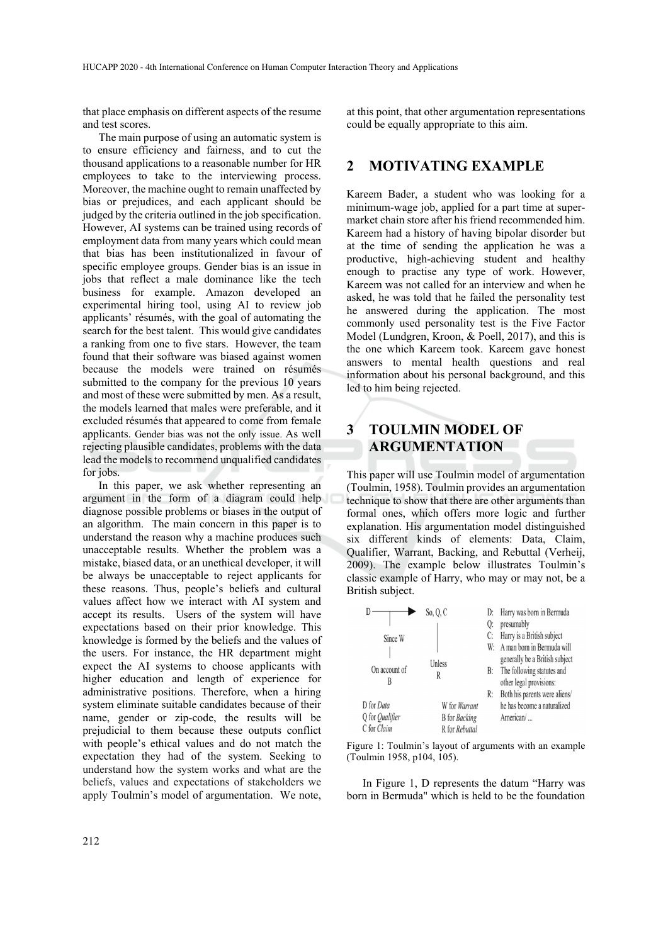that place emphasis on different aspects of the resume and test scores.

The main purpose of using an automatic system is to ensure efficiency and fairness, and to cut the thousand applications to a reasonable number for HR employees to take to the interviewing process. Moreover, the machine ought to remain unaffected by bias or prejudices, and each applicant should be judged by the criteria outlined in the job specification. However, AI systems can be trained using records of employment data from many years which could mean that bias has been institutionalized in favour of specific employee groups. Gender bias is an issue in jobs that reflect a male dominance like the tech business for example. Amazon developed an experimental hiring tool, using AI to review job applicants' résumés, with the goal of automating the search for the best talent. This would give candidates a ranking from one to five stars. However, the team found that their software was biased against women because the models were trained on résumés submitted to the company for the previous 10 years and most of these were submitted by men. As a result, the models learned that males were preferable, and it excluded résumés that appeared to come from female applicants. Gender bias was not the only issue. As well rejecting plausible candidates, problems with the data lead the models to recommend unqualified candidates for jobs.

In this paper, we ask whether representing an argument in the form of a diagram could help diagnose possible problems or biases in the output of an algorithm. The main concern in this paper is to understand the reason why a machine produces such unacceptable results. Whether the problem was a mistake, biased data, or an unethical developer, it will be always be unacceptable to reject applicants for these reasons. Thus, people's beliefs and cultural values affect how we interact with AI system and accept its results. Users of the system will have expectations based on their prior knowledge. This knowledge is formed by the beliefs and the values of the users. For instance, the HR department might expect the AI systems to choose applicants with higher education and length of experience for administrative positions. Therefore, when a hiring system eliminate suitable candidates because of their name, gender or zip-code, the results will be prejudicial to them because these outputs conflict with people's ethical values and do not match the expectation they had of the system. Seeking to understand how the system works and what are the beliefs, values and expectations of stakeholders we apply Toulmin's model of argumentation. We note,

at this point, that other argumentation representations could be equally appropriate to this aim.

### **2 MOTIVATING EXAMPLE**

Kareem Bader, a student who was looking for a minimum-wage job, applied for a part time at supermarket chain store after his friend recommended him. Kareem had a history of having bipolar disorder but at the time of sending the application he was a productive, high-achieving student and healthy enough to practise any type of work. However, Kareem was not called for an interview and when he asked, he was told that he failed the personality test he answered during the application. The most commonly used personality test is the Five Factor Model (Lundgren, Kroon, & Poell, 2017), and this is the one which Kareem took. Kareem gave honest answers to mental health questions and real information about his personal background, and this led to him being rejected.

# **3 TOULMIN MODEL OF ARGUMENTATION**

This paper will use Toulmin model of argumentation (Toulmin, 1958). Toulmin provides an argumentation technique to show that there are other arguments than formal ones, which offers more logic and further explanation. His argumentation model distinguished six different kinds of elements: Data, Claim, Qualifier, Warrant, Backing, and Rebuttal (Verheij, 2009). The example below illustrates Toulmin's classic example of Harry, who may or may not, be a British subject.

|                        | So, O, C                    |    | D: Harry was born in Bermuda   |
|------------------------|-----------------------------|----|--------------------------------|
|                        |                             | 0: | presumably                     |
| Since W                |                             | C: | Harry is a British subject     |
|                        |                             |    | W: A man born in Bermuda will  |
|                        | Unless                      |    | generally be a British subject |
| On account of          | R                           |    | B: The following statutes and  |
| B                      |                             |    | other legal provisions:        |
|                        |                             | R: | Both his parents were aliens/  |
| D for Data             | W for Warrant               |    | he has become a naturalized    |
| Q for <i>Qualifier</i> | <b>B</b> for <i>Backing</i> |    | American/                      |
| C for Claim            | R for Rebuttal              |    |                                |

Figure 1: Toulmin's layout of arguments with an example (Toulmin 1958, p104, 105).

In Figure 1, D represents the datum "Harry was born in Bermuda" which is held to be the foundation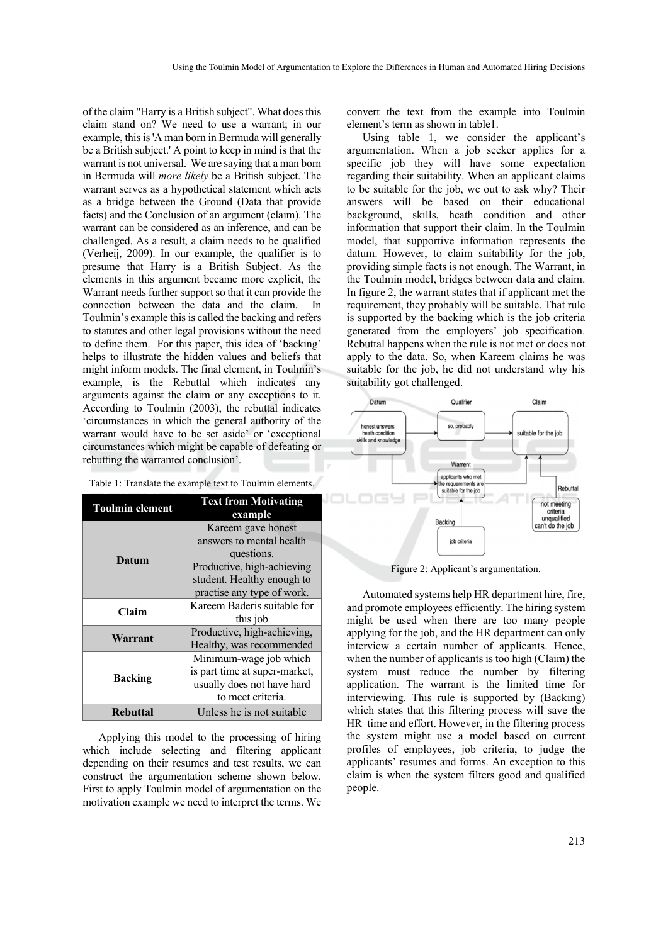of the claim "Harry is a British subject". What does this claim stand on? We need to use a warrant; in our example, this is 'A man born in Bermuda will generally be a British subject.' A point to keep in mind is that the warrant is not universal. We are saying that a man born in Bermuda will *more likely* be a British subject. The warrant serves as a hypothetical statement which acts as a bridge between the Ground (Data that provide facts) and the Conclusion of an argument (claim). The warrant can be considered as an inference, and can be challenged. As a result, a claim needs to be qualified (Verheij, 2009). In our example, the qualifier is to presume that Harry is a British Subject. As the elements in this argument became more explicit, the Warrant needs further support so that it can provide the connection between the data and the claim. In Toulmin's example this is called the backing and refers to statutes and other legal provisions without the need to define them. For this paper, this idea of 'backing' helps to illustrate the hidden values and beliefs that might inform models. The final element, in Toulmin's example, is the Rebuttal which indicates any arguments against the claim or any exceptions to it. According to Toulmin (2003), the rebuttal indicates 'circumstances in which the general authority of the warrant would have to be set aside' or 'exceptional circumstances which might be capable of defeating or rebutting the warranted conclusion'.

| Table 1: Translate the example text to Toulmin elements. |  |
|----------------------------------------------------------|--|
|----------------------------------------------------------|--|

| <b>Toulmin element</b> | <b>Text from Motivating</b><br>example |  |  |
|------------------------|----------------------------------------|--|--|
|                        | Kareem gave honest                     |  |  |
|                        | answers to mental health               |  |  |
| Datum                  | questions.                             |  |  |
|                        | Productive, high-achieving             |  |  |
|                        | student. Healthy enough to             |  |  |
|                        | practise any type of work.             |  |  |
| Claim                  | Kareem Baderis suitable for            |  |  |
|                        | this job                               |  |  |
| Warrant                | Productive, high-achieving,            |  |  |
|                        | Healthy, was recommended               |  |  |
|                        | Minimum-wage job which                 |  |  |
| <b>Backing</b>         | is part time at super-market,          |  |  |
|                        | usually does not have hard             |  |  |
|                        | to meet criteria.                      |  |  |
| <b>Rebuttal</b>        | Unless he is not suitable              |  |  |

Applying this model to the processing of hiring which include selecting and filtering applicant depending on their resumes and test results, we can construct the argumentation scheme shown below. First to apply Toulmin model of argumentation on the motivation example we need to interpret the terms. We convert the text from the example into Toulmin element's term as shown in table1.

Using table 1, we consider the applicant's argumentation. When a job seeker applies for a specific job they will have some expectation regarding their suitability. When an applicant claims to be suitable for the job, we out to ask why? Their answers will be based on their educational background, skills, heath condition and other information that support their claim. In the Toulmin model, that supportive information represents the datum. However, to claim suitability for the job, providing simple facts is not enough. The Warrant, in the Toulmin model, bridges between data and claim. In figure 2, the warrant states that if applicant met the requirement, they probably will be suitable. That rule is supported by the backing which is the job criteria generated from the employers' job specification. Rebuttal happens when the rule is not met or does not apply to the data. So, when Kareem claims he was suitable for the job, he did not understand why his suitability got challenged.



Figure 2: Applicant's argumentation.

Automated systems help HR department hire, fire, and promote employees efficiently. The hiring system might be used when there are too many people applying for the job, and the HR department can only interview a certain number of applicants. Hence, when the number of applicants is too high (Claim) the system must reduce the number by filtering application. The warrant is the limited time for interviewing. This rule is supported by (Backing) which states that this filtering process will save the HR time and effort. However, in the filtering process the system might use a model based on current profiles of employees, job criteria, to judge the applicants' resumes and forms. An exception to this claim is when the system filters good and qualified people.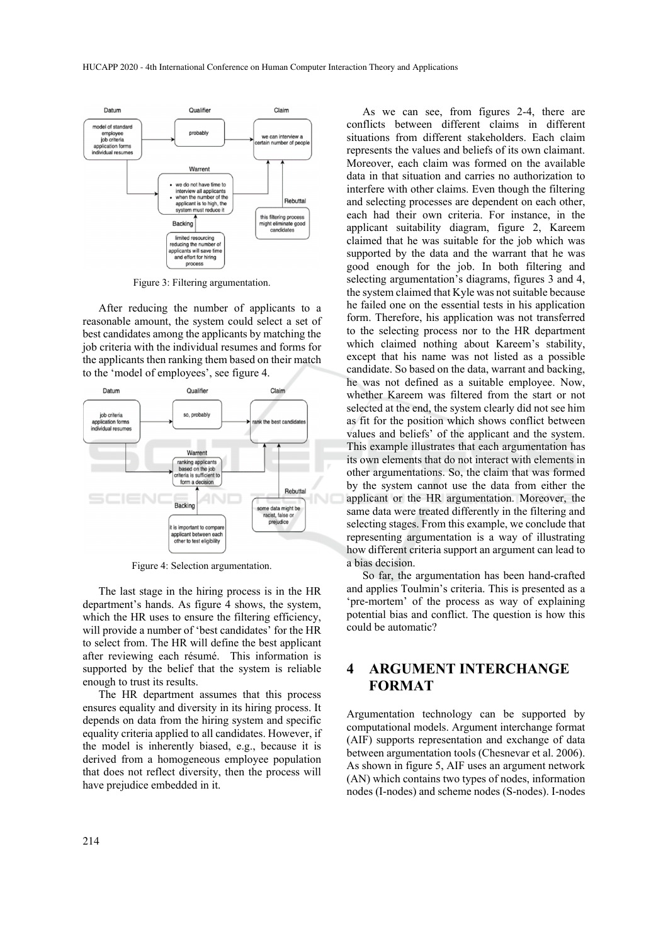

Figure 3: Filtering argumentation.

After reducing the number of applicants to a reasonable amount, the system could select a set of best candidates among the applicants by matching the job criteria with the individual resumes and forms for the applicants then ranking them based on their match to the 'model of employees', see figure 4.



Figure 4: Selection argumentation.

The last stage in the hiring process is in the HR department's hands. As figure 4 shows, the system, which the HR uses to ensure the filtering efficiency, will provide a number of 'best candidates' for the HR to select from. The HR will define the best applicant after reviewing each résumé. This information is supported by the belief that the system is reliable enough to trust its results.

The HR department assumes that this process ensures equality and diversity in its hiring process. It depends on data from the hiring system and specific equality criteria applied to all candidates. However, if the model is inherently biased, e.g., because it is derived from a homogeneous employee population that does not reflect diversity, then the process will have prejudice embedded in it.

As we can see, from figures 2-4, there are conflicts between different claims in different situations from different stakeholders. Each claim represents the values and beliefs of its own claimant. Moreover, each claim was formed on the available data in that situation and carries no authorization to interfere with other claims. Even though the filtering and selecting processes are dependent on each other, each had their own criteria. For instance, in the applicant suitability diagram, figure 2, Kareem claimed that he was suitable for the job which was supported by the data and the warrant that he was good enough for the job. In both filtering and selecting argumentation's diagrams, figures 3 and 4, the system claimed that Kyle was not suitable because he failed one on the essential tests in his application form. Therefore, his application was not transferred to the selecting process nor to the HR department which claimed nothing about Kareem's stability, except that his name was not listed as a possible candidate. So based on the data, warrant and backing, he was not defined as a suitable employee. Now, whether Kareem was filtered from the start or not selected at the end, the system clearly did not see him as fit for the position which shows conflict between values and beliefs' of the applicant and the system. This example illustrates that each argumentation has its own elements that do not interact with elements in other argumentations. So, the claim that was formed by the system cannot use the data from either the applicant or the HR argumentation. Moreover, the same data were treated differently in the filtering and selecting stages. From this example, we conclude that representing argumentation is a way of illustrating how different criteria support an argument can lead to a bias decision.

So far, the argumentation has been hand-crafted and applies Toulmin's criteria. This is presented as a 'pre-mortem' of the process as way of explaining potential bias and conflict. The question is how this could be automatic?

# **4 ARGUMENT INTERCHANGE FORMAT**

Argumentation technology can be supported by computational models. Argument interchange format (AIF) supports representation and exchange of data between argumentation tools (Chesnevar et al. 2006). As shown in figure 5, AIF uses an argument network (AN) which contains two types of nodes, information nodes (I-nodes) and scheme nodes (S-nodes). I-nodes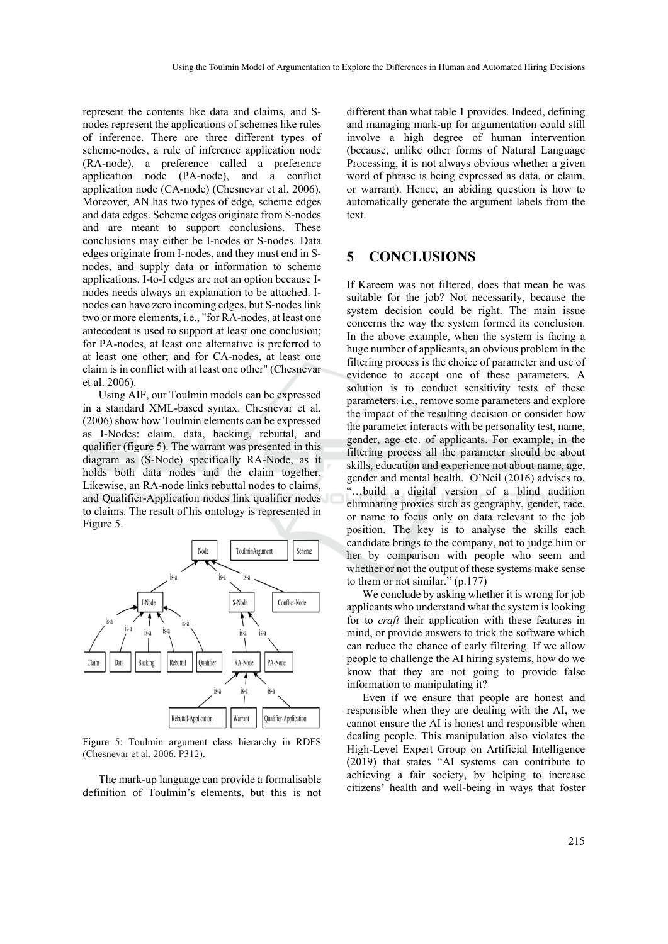represent the contents like data and claims, and Snodes represent the applications of schemes like rules of inference. There are three different types of scheme-nodes, a rule of inference application node (RA-node), a preference called a preference application node (PA-node), and a conflict application node (CA-node) (Chesnevar et al. 2006). Moreover, AN has two types of edge, scheme edges and data edges. Scheme edges originate from S-nodes and are meant to support conclusions. These conclusions may either be I-nodes or S-nodes. Data edges originate from I-nodes, and they must end in Snodes, and supply data or information to scheme applications. I-to-I edges are not an option because Inodes needs always an explanation to be attached. Inodes can have zero incoming edges, but S-nodes link two or more elements, i.e., "for RA-nodes, at least one antecedent is used to support at least one conclusion; for PA-nodes, at least one alternative is preferred to at least one other; and for CA-nodes, at least one claim is in conflict with at least one other" (Chesnevar et al. 2006).

Using AIF, our Toulmin models can be expressed in a standard XML-based syntax. Chesnevar et al. (2006) show how Toulmin elements can be expressed as I-Nodes: claim, data, backing, rebuttal, and qualifier (figure 5). The warrant was presented in this diagram as (S-Node) specifically RA-Node, as it holds both data nodes and the claim together. Likewise, an RA-node links rebuttal nodes to claims, and Qualifier-Application nodes link qualifier nodes to claims. The result of his ontology is represented in Figure 5.



Figure 5: Toulmin argument class hierarchy in RDFS (Chesnevar et al. 2006. P312).

The mark-up language can provide a formalisable definition of Toulmin's elements, but this is not

different than what table 1 provides. Indeed, defining and managing mark-up for argumentation could still involve a high degree of human intervention (because, unlike other forms of Natural Language Processing, it is not always obvious whether a given word of phrase is being expressed as data, or claim, or warrant). Hence, an abiding question is how to automatically generate the argument labels from the text.

## **5 CONCLUSIONS**

If Kareem was not filtered, does that mean he was suitable for the job? Not necessarily, because the system decision could be right. The main issue concerns the way the system formed its conclusion. In the above example, when the system is facing a huge number of applicants, an obvious problem in the filtering process is the choice of parameter and use of evidence to accept one of these parameters. A solution is to conduct sensitivity tests of these parameters. i.e., remove some parameters and explore the impact of the resulting decision or consider how the parameter interacts with be personality test, name, gender, age etc. of applicants. For example, in the filtering process all the parameter should be about skills, education and experience not about name, age, gender and mental health. O'Neil (2016) advises to, "…build a digital version of a blind audition eliminating proxies such as geography, gender, race, or name to focus only on data relevant to the job position. The key is to analyse the skills each candidate brings to the company, not to judge him or her by comparison with people who seem and whether or not the output of these systems make sense to them or not similar." (p.177)

We conclude by asking whether it is wrong for job applicants who understand what the system is looking for to *craft* their application with these features in mind, or provide answers to trick the software which can reduce the chance of early filtering. If we allow people to challenge the AI hiring systems, how do we know that they are not going to provide false information to manipulating it?

Even if we ensure that people are honest and responsible when they are dealing with the AI, we cannot ensure the AI is honest and responsible when dealing people. This manipulation also violates the High-Level Expert Group on Artificial Intelligence (2019) that states "AI systems can contribute to achieving a fair society, by helping to increase citizens' health and well-being in ways that foster